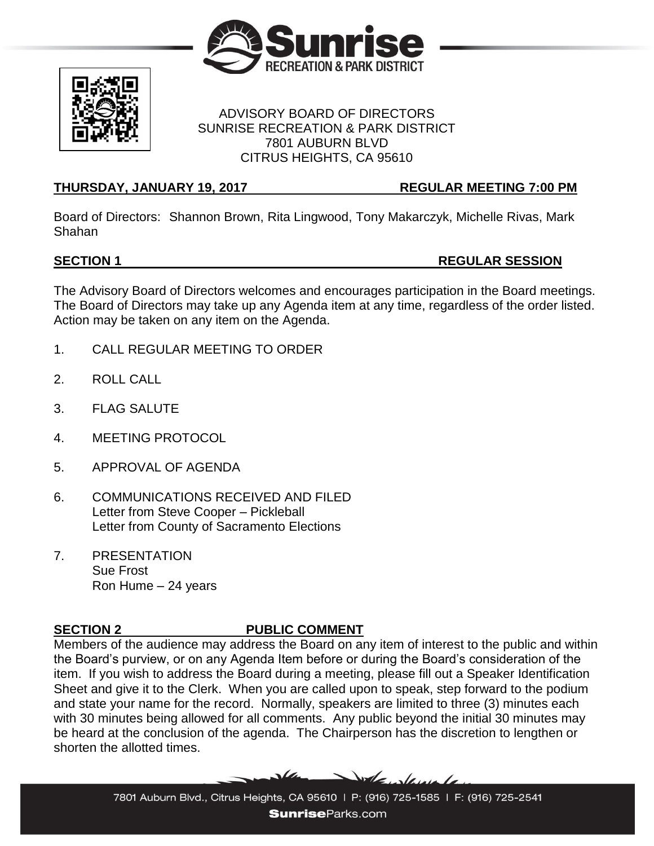



### ADVISORY BOARD OF DIRECTORS SUNRISE RECREATION & PARK DISTRICT 7801 AUBURN BLVD CITRUS HEIGHTS, CA 95610

## **THURSDAY, JANUARY 19, 2017 REGULAR MEETING 7:00 PM**

Board of Directors: Shannon Brown, Rita Lingwood, Tony Makarczyk, Michelle Rivas, Mark Shahan

# **SECTION 1 REGULAR SESSION**

The Advisory Board of Directors welcomes and encourages participation in the Board meetings. The Board of Directors may take up any Agenda item at any time, regardless of the order listed. Action may be taken on any item on the Agenda.

- 1. CALL REGULAR MEETING TO ORDER
- 2. ROLL CALL
- 3. FLAG SALUTE
- 4. MEETING PROTOCOL
- 5. APPROVAL OF AGENDA
- 6. COMMUNICATIONS RECEIVED AND FILED Letter from Steve Cooper – Pickleball Letter from County of Sacramento Elections
- 7. PRESENTATION Sue Frost Ron Hume – 24 years

# **SECTION 2 PUBLIC COMMENT**

Members of the audience may address the Board on any item of interest to the public and within the Board's purview, or on any Agenda Item before or during the Board's consideration of the item. If you wish to address the Board during a meeting, please fill out a Speaker Identification Sheet and give it to the Clerk. When you are called upon to speak, step forward to the podium and state your name for the record. Normally, speakers are limited to three (3) minutes each with 30 minutes being allowed for all comments. Any public beyond the initial 30 minutes may be heard at the conclusion of the agenda. The Chairperson has the discretion to lengthen or shorten the allotted times.